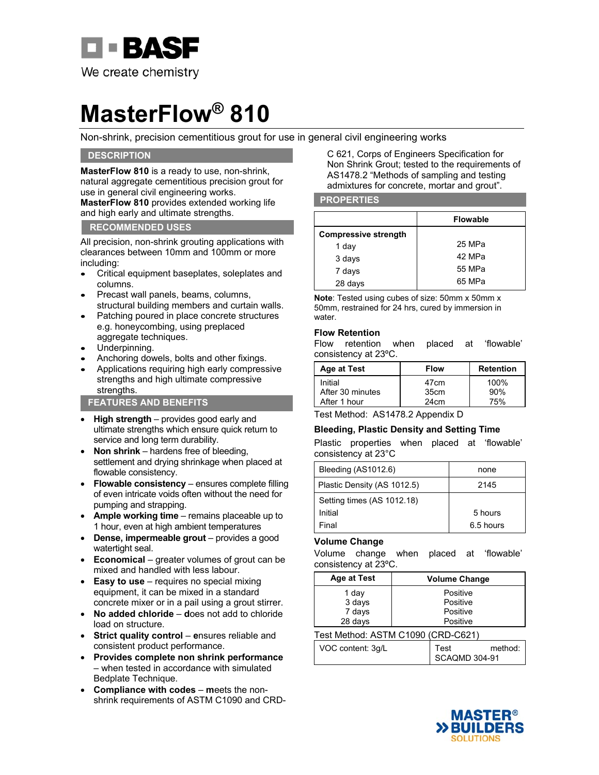

# **MasterFlow® 810**

Non-shrink, precision cementitious grout for use in general civil engineering works

## **DESCRIPTION**

**MasterFlow 810** is a ready to use, non-shrink, natural aggregate cementitious precision grout for use in general civil engineering works. **MasterFlow 810** provides extended working life and high early and ultimate strengths.

### **RECOMMENDED USES**

All precision, non-shrink grouting applications with clearances between 10mm and 100mm or more including:

- Critical equipment baseplates, soleplates and columns.
- Precast wall panels, beams, columns, structural building members and curtain walls.
- Patching poured in place concrete structures e.g. honeycombing, using preplaced aggregate techniques.
- Underpinning.
- Anchoring dowels, bolts and other fixings.
- Applications requiring high early compressive strengths and high ultimate compressive strengths.

**FEATURES AND BENEFITS** 

- **High strength**  provides good early and ultimate strengths which ensure quick return to service and long term durability.
- **Non shrink** hardens free of bleeding, settlement and drying shrinkage when placed at flowable consistency.
- **Flowable consistency** ensures complete filling of even intricate voids often without the need for pumping and strapping.
- Ample working time remains placeable up to 1 hour, even at high ambient temperatures
- Dense, impermeable grout provides a good watertight seal.
- **Economical**  greater volumes of grout can be mixed and handled with less labour.
- **Easy to use**  requires no special mixing equipment, it can be mixed in a standard concrete mixer or in a pail using a grout stirrer.
- **No added chloride** – **d**oes not add to chloride load on structure.
- Strict quality control ensures reliable and consistent product performance.
- **Provides complete non shrink performance** – when tested in accordance with simulated Bedplate Technique.
- **Compliance with codes** – **m**eets the nonshrink requirements of ASTM C1090 and CRD-

C 621, Corps of Engineers Specification for Non Shrink Grout; tested to the requirements of AS1478.2 "Methods of sampling and testing admixtures for concrete, mortar and grout".

### **PROPERTIES**

|                             | <b>Flowable</b> |
|-----------------------------|-----------------|
| <b>Compressive strength</b> |                 |
| 1 day                       | 25 MPa          |
| 3 days                      | 42 MPa          |
| 7 days                      | 55 MPa          |
| 28 days                     | 65 MPa          |

**Note**: Tested using cubes of size: 50mm x 50mm x 50mm, restrained for 24 hrs, cured by immersion in water.

### **Flow Retention**

Flow retention when placed at 'flowable' consistency at 23ºC.

| Age at Test                 | <b>Flow</b>  | <b>Retention</b> |
|-----------------------------|--------------|------------------|
| Initial<br>After 30 minutes | 47cm<br>35cm | $100\%$<br>90%   |
| After 1 hour                | 24cm         | 75%              |

Test Method: AS1478.2 Appendix D

## **Bleeding, Plastic Density and Setting Time**

Plastic properties when placed at 'flowable' consistency at 23°C

| Bleeding (AS1012.6)         | none      |
|-----------------------------|-----------|
| Plastic Density (AS 1012.5) | 2145      |
| Setting times (AS 1012.18)  |           |
| Initial                     | 5 hours   |
| Final                       | 6.5 hours |

## **Volume Change**

Volume change when placed at 'flowable' consistency at 23ºC.

| <b>Age at Test</b> | <b>Volume Change</b> |
|--------------------|----------------------|
| 1 day              | Positive             |
| 3 days             | Positive             |
| 7 days             | Positive             |
| 28 days            | Positive             |

## Test Method: ASTM C1090 (CRD-C621)

| VOC content: 3g/L | l Test        | method: |
|-------------------|---------------|---------|
|                   | SCAQMD 304-91 |         |